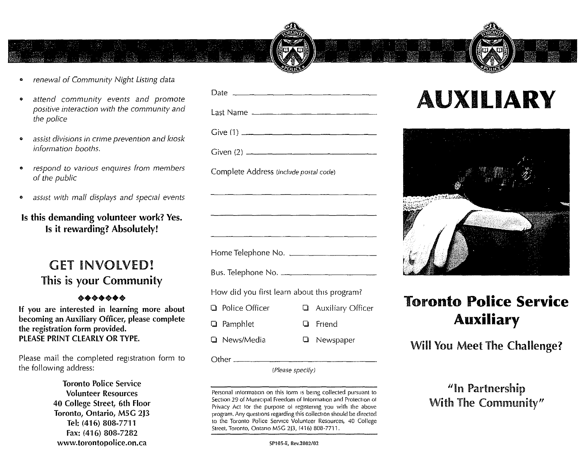

- *renewal* of *Community Night Listing data*
- *• attend community events and promote positive mteraction with the community and the police*
- *assist divisions in crime prevention and kiosk information booths,*
- *• respond to venous enoutres from members* of *the public*
- *• aSSISt with mall displays and specie! events*

#### Is this demanding volunteer work? Yes. Is it rewarding? Absolutely!

## GET INVOLVED! This is your Community

#### •••••••

If you are interested in learning more about becoming an Auxiliary Officer, please complete the registration form provided. PLEASE PRINT ClEARLY OR TYPE.

Please mail the completed registration form to the following address:

> Toronto Police Service Volunteer Resources 40 College Street, 6th Floor Toronto, Ontario, M5G 2)3 Tel: (416) 808-7711 Fax: (416) 808-7282 www.torontopolice.on.ca

| Complete Address (include postal code)      |  |                          |
|---------------------------------------------|--|--------------------------|
|                                             |  |                          |
|                                             |  |                          |
|                                             |  |                          |
| Home Telephone No. ________________________ |  |                          |
|                                             |  |                          |
| How did you first learn about this program? |  |                          |
| <b>Q</b> Police Officer                     |  | $\Box$ Auxiliary Officer |
| <b>Q</b> Pamphlet                           |  | <b>Q</b> Friend          |
| <b>□</b> News/Media                         |  | <b>Q</b> Newspaper       |
|                                             |  |                          |
| (Please specify)                            |  |                          |

Personal information on this form is being collected pursuant to Section 29 of Municipal Freedom of Information and Protection 01 Privacy Act tor the purpose 01 regrstermg you with the above program. Any questions regarding this collection should be directed 10 the Toronto Police Service Volunteer Resources, 40 College Street, Toronto, Ontario M5G 2J3, (416) 808-7711.

# Last Name \_ **AUXILIARY**



# Toronto **Police Service Auxiliary**

Will You Meet The Challenge?

### "In Partnership With The Community"

SP10S-E, Rev.2002/02